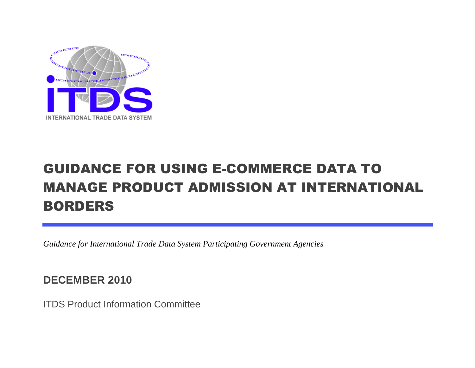

# GUIDANCE FOR USING E-COMMERCE DATA TO MANAGE PRODUCT ADMISSION AT INTERNATIONAL BORDERS

*Guidance for International Trade Data System Participating Government Agencies*

**DECEMBER 2010**

ITDS Product Information Committee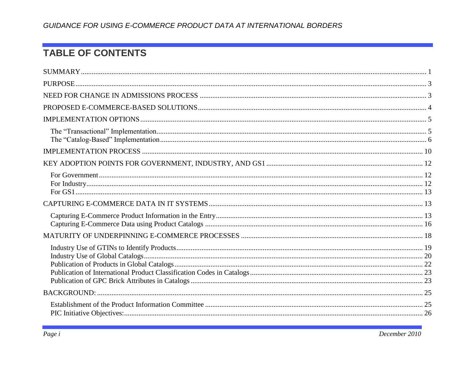# **TABLE OF CONTENTS**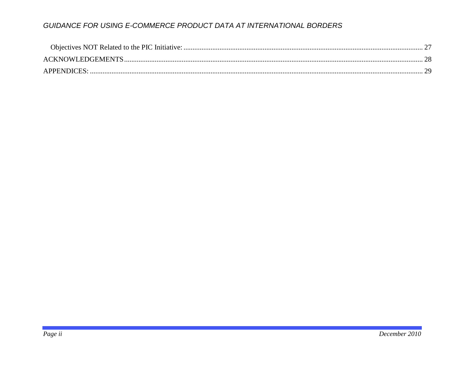| APPENDICES: |  |
|-------------|--|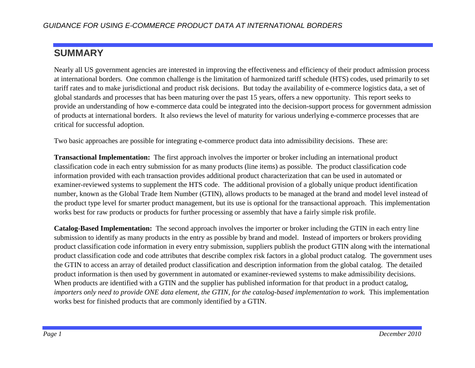# <span id="page-3-0"></span>**SUMMARY**

Nearly all US government agencies are interested in improving the effectiveness and efficiency of their product admission process at international borders. One common challenge is the limitation of harmonized tariff schedule (HTS) codes, used primarily to set tariff rates and to make jurisdictional and product risk decisions. But today the availability of e-commerce logistics data, a set of global standards and processes that has been maturing over the past 15 years, offers a new opportunity. This report seeks to provide an understanding of how e-commerce data could be integrated into the decision-support process for government admission of products at international borders. It also reviews the level of maturity for various underlying e-commerce processes that are critical for successful adoption.

Two basic approaches are possible for integrating e-commerce product data into admissibility decisions. These are:

**Transactional Implementation:** The first approach involves the importer or broker including an international product classification code in each entry submission for as many products (line items) as possible. The product classification code information provided with each transaction provides additional product characterization that can be used in automated or examiner-reviewed systems to supplement the HTS code. The additional provision of a globally unique product identification number, known as the Global Trade Item Number (GTIN), allows products to be managed at the brand and model level instead of the product type level for smarter product management, but its use is optional for the transactional approach. This implementation works best for raw products or products for further processing or assembly that have a fairly simple risk profile.

**Catalog-Based Implementation:** The second approach involves the importer or broker including the GTIN in each entry line submission to identify as many products in the entry as possible by brand and model. Instead of importers or brokers providing product classification code information in every entry submission, suppliers publish the product GTIN along with the international product classification code and code attributes that describe complex risk factors in a global product catalog. The government uses the GTIN to access an array of detailed product classification and description information from the global catalog. The detailed product information is then used by government in automated or examiner-reviewed systems to make admissibility decisions. When products are identified with a GTIN and the supplier has published information for that product in a product catalog, *importers only need to provide ONE data element, the GTIN, for the catalog-based implementation to work.* This implementation works best for finished products that are commonly identified by a GTIN.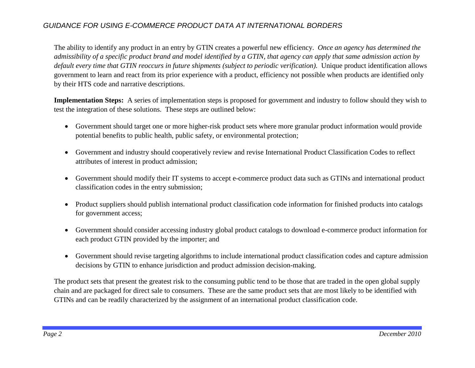The ability to identify any product in an entry by GTIN creates a powerful new efficiency. *Once an agency has determined the admissibility of a specific product brand and model identified by a GTIN, that agency can apply that same admission action by default every time that GTIN reoccurs in future shipments (subject to periodic verification).* Unique product identification allows government to learn and react from its prior experience with a product, efficiency not possible when products are identified only by their HTS code and narrative descriptions.

**Implementation Steps:** A series of implementation steps is proposed for government and industry to follow should they wish to test the integration of these solutions. These steps are outlined below:

- Government should target one or more higher-risk product sets where more granular product information would provide potential benefits to public health, public safety, or environmental protection;
- Government and industry should cooperatively review and revise International Product Classification Codes to reflect attributes of interest in product admission;
- Government should modify their IT systems to accept e-commerce product data such as GTINs and international product classification codes in the entry submission;
- Product suppliers should publish international product classification code information for finished products into catalogs for government access;
- Government should consider accessing industry global product catalogs to download e-commerce product information for each product GTIN provided by the importer; and
- Government should revise targeting algorithms to include international product classification codes and capture admission decisions by GTIN to enhance jurisdiction and product admission decision-making.

The product sets that present the greatest risk to the consuming public tend to be those that are traded in the open global supply chain and are packaged for direct sale to consumers. These are the same product sets that are most likely to be identified with GTINs and can be readily characterized by the assignment of an international product classification code.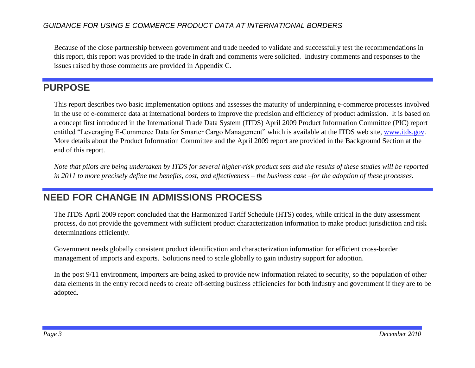Because of the close partnership between government and trade needed to validate and successfully test the recommendations in this report, this report was provided to the trade in draft and comments were solicited. Industry comments and responses to the issues raised by those comments are provided in Appendix C.

# <span id="page-5-0"></span>**PURPOSE**

This report describes two basic implementation options and assesses the maturity of underpinning e-commerce processes involved in the use of e-commerce data at international borders to improve the precision and efficiency of product admission. It is based on a concept first introduced in the International Trade Data System (ITDS) April 2009 Product Information Committee (PIC) report entitled "Leveraging E-Commerce Data for Smarter Cargo Management" which is available at the ITDS web site, [www.itds.gov.](http://www.itds.gov/) More details about the Product Information Committee and the April 2009 report are provided in the Background Section at the end of this report.

*Note that pilots are being undertaken by ITDS for several higher-risk product sets and the results of these studies will be reported in 2011 to more precisely define the benefits, cost, and effectiveness – the business case –for the adoption of these processes.*

# <span id="page-5-1"></span>**NEED FOR CHANGE IN ADMISSIONS PROCESS**

The ITDS April 2009 report concluded that the Harmonized Tariff Schedule (HTS) codes, while critical in the duty assessment process, do not provide the government with sufficient product characterization information to make product jurisdiction and risk determinations efficiently.

Government needs globally consistent product identification and characterization information for efficient cross-border management of imports and exports. Solutions need to scale globally to gain industry support for adoption.

In the post 9/11 environment, importers are being asked to provide new information related to security, so the population of other data elements in the entry record needs to create off-setting business efficiencies for both industry and government if they are to be adopted.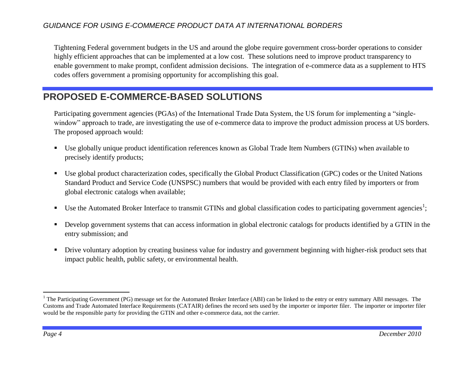Tightening Federal government budgets in the US and around the globe require government cross-border operations to consider highly efficient approaches that can be implemented at a low cost. These solutions need to improve product transparency to enable government to make prompt, confident admission decisions. The integration of e-commerce data as a supplement to HTS codes offers government a promising opportunity for accomplishing this goal.

# <span id="page-6-0"></span>**PROPOSED E-COMMERCE-BASED SOLUTIONS**

Participating government agencies (PGAs) of the International Trade Data System, the US forum for implementing a "singlewindow" approach to trade, are investigating the use of e-commerce data to improve the product admission process at US borders. The proposed approach would:

- Use globally unique product identification references known as Global Trade Item Numbers (GTINs) when available to precisely identify products;
- Use global product characterization codes, specifically the Global Product Classification (GPC) codes or the United Nations Standard Product and Service Code (UNSPSC) numbers that would be provided with each entry filed by importers or from global electronic catalogs when available;
- Use the Automated Broker Interface to transmit GTINs and global classification codes to participating government agencies<sup>1</sup>;
- Develop government systems that can access information in global electronic catalogs for products identified by a GTIN in the entry submission; and
- **•** Drive voluntary adoption by creating business value for industry and government beginning with higher-risk product sets that impact public health, public safety, or environmental health.

 $\overline{a}$ 

<sup>&</sup>lt;sup>1</sup> The Participating Government (PG) message set for the Automated Broker Interface (ABI) can be linked to the entry or entry summary ABI messages. The Customs and Trade Automated Interface Requirements (CATAIR) defines the record sets used by the importer or importer filer. The importer or importer filer would be the responsible party for providing the GTIN and other e-commerce data, not the carrier.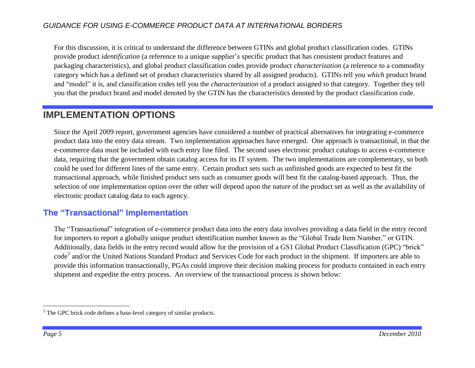For this discussion, it is critical to understand the difference between GTINs and global product classification codes. GTINs provide product *identification* (a reference to a unique supplier's specific product that has consistent product features and packaging characteristics), and global product classification codes provide product *characterization* (a reference to a commodity category which has a defined set of product characteristics shared by all assigned products). GTINs tell you *which* product brand and "model" it is, and classification codes tell you the *characterization* of a product assigned to that category. Together they tell you that the product brand and model denoted by the GTIN has the characteristics denoted by the product classification code.

# <span id="page-7-0"></span>**IMPLEMENTATION OPTIONS**

Since the April 2009 report, government agencies have considered a number of practical alternatives for integrating e-commerce product data into the entry data stream. Two implementation approaches have emerged. One approach is transactional, in that the e-commerce data must be included with each entry line filed. The second uses electronic product catalogs to access e-commerce data, requiring that the government obtain catalog access for its IT system. The two implementations are complementary, so both could be used for different lines of the same entry. Certain product sets such as unfinished goods are expected to best fit the transactional approach, while finished product sets such as consumer goods will best fit the catalog-based approach. Thus, the selection of one implementation option over the other will depend upon the nature of the product set as well as the availability of electronic product catalog data to each agency.

### <span id="page-7-1"></span>**The "Transactional" Implementation**

The "Transactional" integration of e-commerce product data into the entry data involves providing a data field in the entry record for importers to report a globally unique product identification number known as the "Global Trade Item Number," or GTIN. Additionally, data fields in the entry record would allow for the provision of a GS1 Global Product Classification (GPC) "brick" code<sup>2</sup> and/or the United Nations Standard Product and Services Code for each product in the shipment. If importers are able to provide this information transactionally, PGAs could improve their decision making process for products contained in each entry shipment and expedite the entry process. An overview of the transactional process is shown below:

 $\overline{a}$ 

 $2^2$  The GPC brick code defines a base-level category of similar products.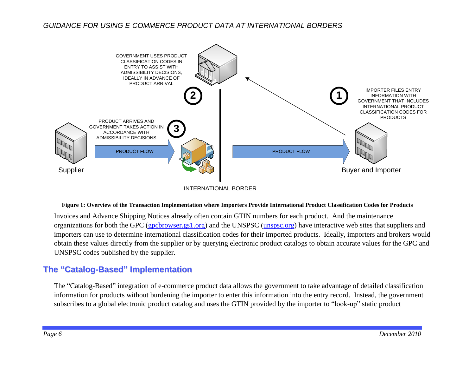

INTERNATIONAL BORDER

#### **Figure 1: Overview of the Transaction Implementation where Importers Provide International Product Classification Codes for Products**

Invoices and Advance Shipping Notices already often contain GTIN numbers for each product. And the maintenance organizations for both the GPC [\(gpcbrowser.gs1.org\)](http://gpcbrowser.gs1.org/) and the UNSPSC [\(unspsc.org\)](http://unspsc.org/) have interactive web sites that suppliers and importers can use to determine international classification codes for their imported products. Ideally, importers and brokers would obtain these values directly from the supplier or by querying electronic product catalogs to obtain accurate values for the GPC and UNSPSC codes published by the supplier.

### <span id="page-8-0"></span>**The "Catalog-Based" Implementation**

The "Catalog-Based" integration of e-commerce product data allows the government to take advantage of detailed classification information for products without burdening the importer to enter this information into the entry record. Instead, the government subscribes to a global electronic product catalog and uses the GTIN provided by the importer to "look-up" static product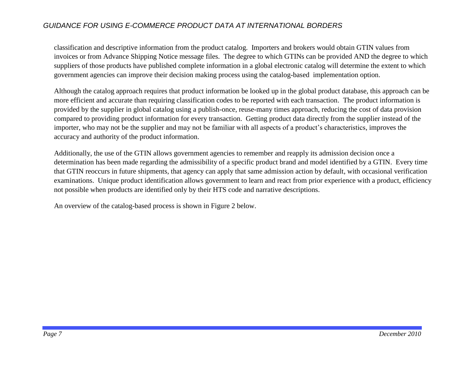classification and descriptive information from the product catalog. Importers and brokers would obtain GTIN values from invoices or from Advance Shipping Notice message files. The degree to which GTINs can be provided AND the degree to which suppliers of those products have published complete information in a global electronic catalog will determine the extent to which government agencies can improve their decision making process using the catalog-based implementation option.

Although the catalog approach requires that product information be looked up in the global product database, this approach can be more efficient and accurate than requiring classification codes to be reported with each transaction. The product information is provided by the supplier in global catalog using a publish-once, reuse-many times approach, reducing the cost of data provision compared to providing product information for every transaction. Getting product data directly from the supplier instead of the importer, who may not be the supplier and may not be familiar with all aspects of a product's characteristics, improves the accuracy and authority of the product information.

Additionally, the use of the GTIN allows government agencies to remember and reapply its admission decision once a determination has been made regarding the admissibility of a specific product brand and model identified by a GTIN. Every time that GTIN reoccurs in future shipments, that agency can apply that same admission action by default, with occasional verification examinations. Unique product identification allows government to learn and react from prior experience with a product, efficiency not possible when products are identified only by their HTS code and narrative descriptions.

An overview of the catalog-based process is shown in [Figure 2](#page-10-0) below.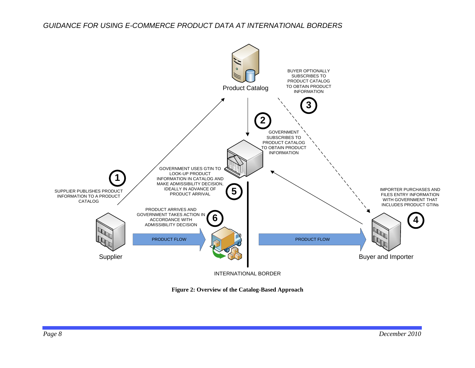

<span id="page-10-0"></span>**Figure 2: Overview of the Catalog-Based Approach**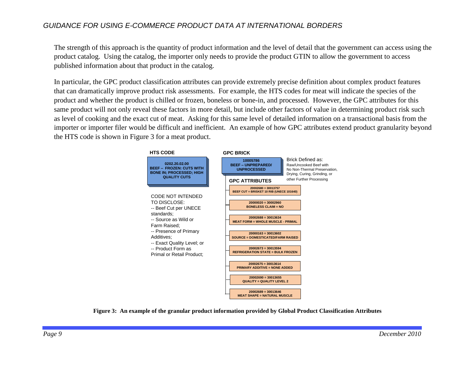The strength of this approach is the quantity of product information and the level of detail that the government can access using the product catalog. Using the catalog, the importer only needs to provide the product GTIN to allow the government to access published information about that product in the catalog.

In particular, the GPC product classification attributes can provide extremely precise definition about complex product features that can dramatically improve product risk assessments. For example, the HTS codes for meat will indicate the species of the product and whether the product is chilled or frozen, boneless or bone-in, and processed. However, the GPC attributes for this same product will not only reveal these factors in more detail, but include other factors of value in determining product risk such as level of cooking and the exact cut of meat. Asking for this same level of detailed information on a transactional basis from the importer or importer filer would be difficult and inefficient. An example of how GPC attributes extend product granularity beyond the HTS code is shown in [Figure 3](#page-11-0) for a meat product.



<span id="page-11-0"></span>**Figure 3: An example of the granular product information provided by Global Product Classification Attributes**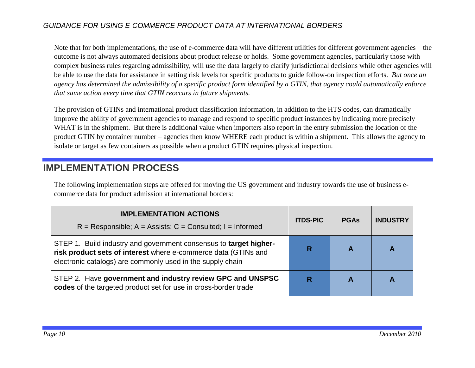Note that for both implementations, the use of e-commerce data will have different utilities for different government agencies – the outcome is not always automated decisions about product release or holds. Some government agencies, particularly those with complex business rules regarding admissibility, will use the data largely to clarify jurisdictional decisions while other agencies will be able to use the data for assistance in setting risk levels for specific products to guide follow-on inspection efforts. *But once an agency has determined the admissibility of a specific product form identified by a GTIN, that agency could automatically enforce that same action every time that GTIN reoccurs in future shipments.*

The provision of GTINs and international product classification information, in addition to the HTS codes, can dramatically improve the ability of government agencies to manage and respond to specific product instances by indicating more precisely WHAT is in the shipment. But there is additional value when importers also report in the entry submission the location of the product GTIN by container number – agencies then know WHERE each product is within a shipment. This allows the agency to isolate or target as few containers as possible when a product GTIN requires physical inspection.

# <span id="page-12-0"></span>**IMPLEMENTATION PROCESS**

The following implementation steps are offered for moving the US government and industry towards the use of business ecommerce data for product admission at international borders:

| <b>IMPLEMENTATION ACTIONS</b><br>$R =$ Responsible; A = Assists; C = Consulted; I = Informed                                                                                                      | <b>ITDS-PIC</b> | <b>PGAs</b> | <b>INDUSTRY</b> |
|---------------------------------------------------------------------------------------------------------------------------------------------------------------------------------------------------|-----------------|-------------|-----------------|
| STEP 1. Build industry and government consensus to target higher-<br>risk product sets of interest where e-commerce data (GTINs and<br>electronic catalogs) are commonly used in the supply chain |                 |             | Α               |
| STEP 2. Have government and industry review GPC and UNSPSC<br>codes of the targeted product set for use in cross-border trade                                                                     |                 |             |                 |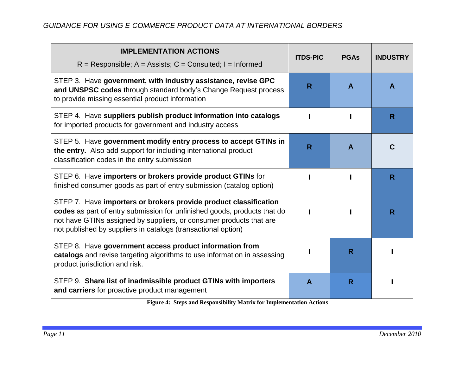| <b>IMPLEMENTATION ACTIONS</b><br>$R =$ Responsible; A = Assists; C = Consulted; I = Informed                                                                                                                                                                                         | <b>ITDS-PIC</b>         | <b>PGAs</b> | <b>INDUSTRY</b> |
|--------------------------------------------------------------------------------------------------------------------------------------------------------------------------------------------------------------------------------------------------------------------------------------|-------------------------|-------------|-----------------|
| STEP 3. Have government, with industry assistance, revise GPC<br>and UNSPSC codes through standard body's Change Request process<br>to provide missing essential product information                                                                                                 | R                       | A           | A               |
| STEP 4. Have suppliers publish product information into catalogs<br>for imported products for government and industry access                                                                                                                                                         |                         |             | R               |
| STEP 5. Have government modify entry process to accept GTINs in<br>the entry. Also add support for including international product<br>classification codes in the entry submission                                                                                                   | $\overline{\mathsf{R}}$ | A           | C               |
| STEP 6. Have importers or brokers provide product GTINs for<br>finished consumer goods as part of entry submission (catalog option)                                                                                                                                                  |                         |             | R               |
| STEP 7. Have importers or brokers provide product classification<br>codes as part of entry submission for unfinished goods, products that do<br>not have GTINs assigned by suppliers, or consumer products that are<br>not published by suppliers in catalogs (transactional option) |                         |             | R               |
| STEP 8. Have government access product information from<br>catalogs and revise targeting algorithms to use information in assessing<br>product jurisdiction and risk.                                                                                                                |                         | R           |                 |
| STEP 9. Share list of inadmissible product GTINs with importers<br>and carriers for proactive product management                                                                                                                                                                     | $\mathbf{A}$            | R           |                 |

**Figure 4: Steps and Responsibility Matrix for Implementation Actions**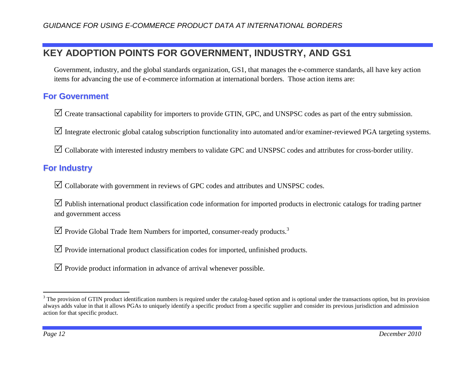# <span id="page-14-0"></span>**KEY ADOPTION POINTS FOR GOVERNMENT, INDUSTRY, AND GS1**

Government, industry, and the global standards organization, GS1, that manages the e-commerce standards, all have key action items for advancing the use of e-commerce information at international borders. Those action items are:

### <span id="page-14-1"></span>**For Government**

 $\triangledown$  Create transactional capability for importers to provide GTIN, GPC, and UNSPSC codes as part of the entry submission.

 $\triangledown$  Integrate electronic global catalog subscription functionality into automated and/or examiner-reviewed PGA targeting systems.

 $\boxtimes$  Collaborate with interested industry members to validate GPC and UNSPSC codes and attributes for cross-border utility.

# <span id="page-14-2"></span>**For Industry**

 $\boxtimes$  Collaborate with government in reviews of GPC codes and attributes and UNSPSC codes.

 $\triangledown$  Publish international product classification code information for imported products in electronic catalogs for trading partner and government access

 $\overline{\mathcal{A}}$  Provide Global Trade Item Numbers for imported, consumer-ready products.<sup>3</sup>

 $\triangledown$  Provide international product classification codes for imported, unfinished products.

 $\triangledown$  Provide product information in advance of arrival whenever possible.

 $\overline{a}$ 

 $3$  The provision of GTIN product identification numbers is required under the catalog-based option and is optional under the transactions option, but its provision always adds value in that it allows PGAs to uniquely identify a specific product from a specific supplier and consider its previous jurisdiction and admission action for that specific product.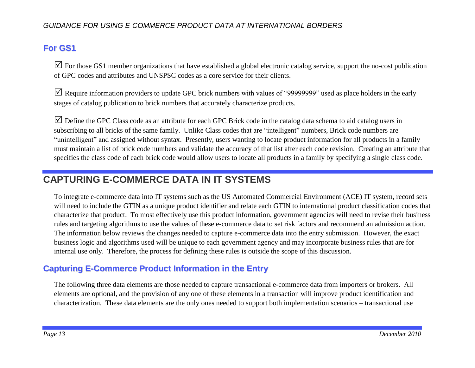# <span id="page-15-0"></span>**For GS1**

 $\boxtimes$  For those GS1 member organizations that have established a global electronic catalog service, support the no-cost publication of GPC codes and attributes and UNSPSC codes as a core service for their clients.

 $\triangledown$  Require information providers to update GPC brick numbers with values of "99999999" used as place holders in the early stages of catalog publication to brick numbers that accurately characterize products.

 $\triangledown$  Define the GPC Class code as an attribute for each GPC Brick code in the catalog data schema to aid catalog users in subscribing to all bricks of the same family. Unlike Class codes that are "intelligent" numbers, Brick code numbers are "unintelligent" and assigned without syntax. Presently, users wanting to locate product information for all products in a family must maintain a list of brick code numbers and validate the accuracy of that list after each code revision. Creating an attribute that specifies the class code of each brick code would allow users to locate all products in a family by specifying a single class code.

# <span id="page-15-1"></span>**CAPTURING E-COMMERCE DATA IN IT SYSTEMS**

To integrate e-commerce data into IT systems such as the US Automated Commercial Environment (ACE) IT system, record sets will need to include the GTIN as a unique product identifier and relate each GTIN to international product classification codes that characterize that product. To most effectively use this product information, government agencies will need to revise their business rules and targeting algorithms to use the values of these e-commerce data to set risk factors and recommend an admission action. The information below reviews the changes needed to capture e-commerce data into the entry submission. However, the exact business logic and algorithms used will be unique to each government agency and may incorporate business rules that are for internal use only. Therefore, the process for defining these rules is outside the scope of this discussion.

# <span id="page-15-2"></span>**Capturing E-Commerce Product Information in the Entry**

The following three data elements are those needed to capture transactional e-commerce data from importers or brokers. All elements are optional, and the provision of any one of these elements in a transaction will improve product identification and characterization. These data elements are the only ones needed to support both implementation scenarios – transactional use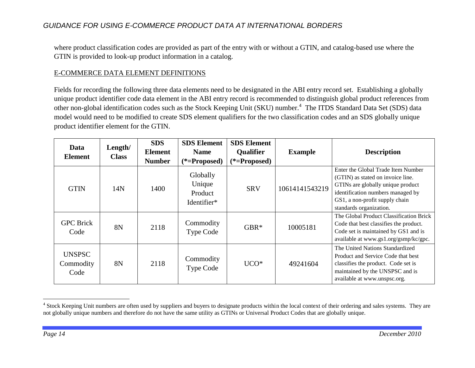where product classification codes are provided as part of the entry with or without a GTIN, and catalog-based use where the GTIN is provided to look-up product information in a catalog.

#### E-COMMERCE DATA ELEMENT DEFINITIONS

Fields for recording the following three data elements need to be designated in the ABI entry record set. Establishing a globally unique product identifier code data element in the ABI entry record is recommended to distinguish global product references from other non-global identification codes such as the Stock Keeping Unit (SKU) number. 4 The ITDS Standard Data Set (SDS) data model would need to be modified to create SDS element qualifiers for the two classification codes and an SDS globally unique product identifier element for the GTIN.

| Data<br><b>Element</b>             | Length/<br><b>Class</b> | <b>SDS</b><br><b>Element</b> | <b>SDS Element</b><br><b>Name</b>                              | <b>SDS Element</b><br><b>Qualifier</b> | <b>Example</b> | <b>Description</b>                                                                                                                                                                                             |
|------------------------------------|-------------------------|------------------------------|----------------------------------------------------------------|----------------------------------------|----------------|----------------------------------------------------------------------------------------------------------------------------------------------------------------------------------------------------------------|
| <b>GTIN</b>                        | 14N                     | <b>Number</b><br>1400        | $(*=Proposed)$<br>Globally<br>Unique<br>Product<br>Identifier* | $(*=Proposed)$<br><b>SRV</b>           | 10614141543219 | Enter the Global Trade Item Number<br>(GTIN) as stated on invoice line.<br>GTINs are globally unique product<br>identification numbers managed by<br>GS1, a non-profit supply chain<br>standards organization. |
| <b>GPC</b> Brick<br>Code           | 8N                      | 2118                         | Commodity<br>Type Code                                         | $GBR*$                                 | 10005181       | The Global Product Classification Brick<br>Code that best classifies the product.<br>Code set is maintained by GS1 and is<br>available at www.gs1.org/gsmp/kc/gpc.                                             |
| <b>UNSPSC</b><br>Commodity<br>Code | 8N                      | 2118                         | Commodity<br><b>Type Code</b>                                  | $UCO*$                                 | 49241604       | The United Nations Standardized<br>Product and Service Code that best<br>classifies the product. Code set is<br>maintained by the UNSPSC and is<br>available at www.unspsc.org.                                |

<sup>&</sup>lt;sup>4</sup> Stock Keeping Unit numbers are often used by suppliers and buyers to designate products within the local context of their ordering and sales systems. They are not globally unique numbers and therefore do not have the same utility as GTINs or Universal Product Codes that are globally unique.

 $\overline{a}$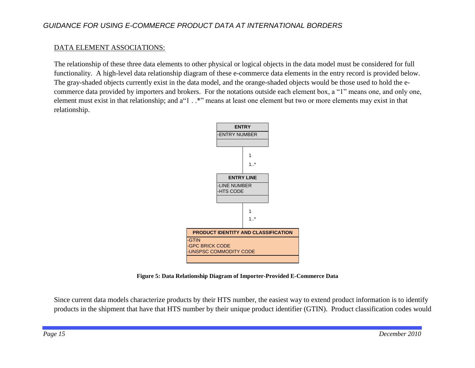#### DATA ELEMENT ASSOCIATIONS:

The relationship of these three data elements to other physical or logical objects in the data model must be considered for full functionality. A high-level data relationship diagram of these e-commerce data elements in the entry record is provided below. The gray-shaded objects currently exist in the data model, and the orange-shaded objects would be those used to hold the ecommerce data provided by importers and brokers. For the notations outside each element box, a "1" means one, and only one, element must exist in that relationship; and a"1 . .\*" means at least one element but two or more elements may exist in that relationship.



**Figure 5: Data Relationship Diagram of Importer-Provided E-Commerce Data**

Since current data models characterize products by their HTS number, the easiest way to extend product information is to identify products in the shipment that have that HTS number by their unique product identifier (GTIN). Product classification codes would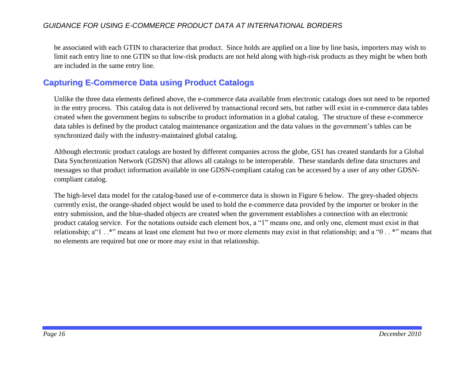be associated with each GTIN to characterize that product. Since holds are applied on a line by line basis, importers may wish to limit each entry line to one GTIN so that low-risk products are not held along with high-risk products as they might be when both are included in the same entry line.

### <span id="page-18-0"></span>**Capturing E-Commerce Data using Product Catalogs**

Unlike the three data elements defined above, the e-commerce data available from electronic catalogs does not need to be reported in the entry process. This catalog data is not delivered by transactional record sets, but rather will exist in e-commerce data tables created when the government begins to subscribe to product information in a global catalog. The structure of these e-commerce data tables is defined by the product catalog maintenance organization and the data values in the government's tables can be synchronized daily with the industry-maintained global catalog.

Although electronic product catalogs are hosted by different companies across the globe, GS1 has created standards for a Global Data Synchronization Network (GDSN) that allows all catalogs to be interoperable. These standards define data structures and messages so that product information available in one GDSN-compliant catalog can be accessed by a user of any other GDSNcompliant catalog.

The high-level data model for the catalog-based use of e-commerce data is shown in [Figure 6](#page-19-0) below. The grey-shaded objects currently exist, the orange-shaded object would be used to hold the e-commerce data provided by the importer or broker in the entry submission, and the blue-shaded objects are created when the government establishes a connection with an electronic product catalog service. For the notations outside each element box, a "1" means one, and only one, element must exist in that relationship; a"1 . .\*" means at least one element but two or more elements may exist in that relationship; and a "0 . . \*" means that no elements are required but one or more may exist in that relationship.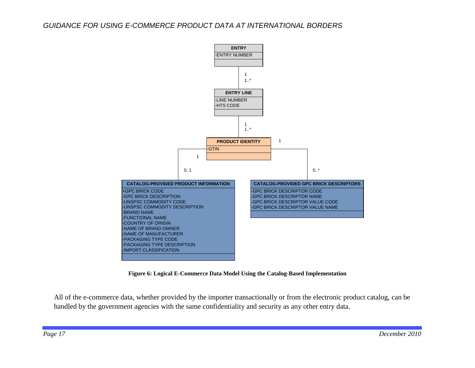

**Figure 6: Logical E-Commerce Data Model Using the Catalog-Based Implementation**

<span id="page-19-0"></span>All of the e-commerce data, whether provided by the importer transactionally or from the electronic product catalog, can be handled by the government agencies with the same confidentiality and security as any other entry data.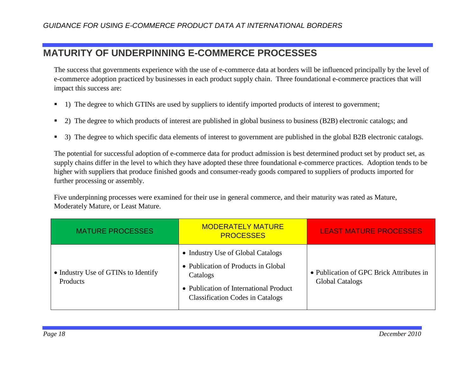# <span id="page-20-0"></span>**MATURITY OF UNDERPINNING E-COMMERCE PROCESSES**

The success that governments experience with the use of e-commerce data at borders will be influenced principally by the level of e-commerce adoption practiced by businesses in each product supply chain. Three foundational e-commerce practices that will impact this success are:

- 1) The degree to which GTINs are used by suppliers to identify imported products of interest to government;
- 2) The degree to which products of interest are published in global business to business (B2B) electronic catalogs; and
- <sup>3</sup> 3) The degree to which specific data elements of interest to government are published in the global B2B electronic catalogs.

The potential for successful adoption of e-commerce data for product admission is best determined product set by product set, as supply chains differ in the level to which they have adopted these three foundational e-commerce practices. Adoption tends to be higher with suppliers that produce finished goods and consumer-ready goods compared to suppliers of products imported for further processing or assembly.

Five underpinning processes were examined for their use in general commerce, and their maturity was rated as Mature, Moderately Mature, or Least Mature.

| <b>MATURE PROCESSES</b>                         | <b>MODERATELY MATURE</b><br><b>PROCESSES</b>                                                                                                                              | <b>LEAST MATURE PROCESSES</b>                                      |
|-------------------------------------------------|---------------------------------------------------------------------------------------------------------------------------------------------------------------------------|--------------------------------------------------------------------|
| • Industry Use of GTINs to Identify<br>Products | • Industry Use of Global Catalogs<br>• Publication of Products in Global<br>Catalogs<br>• Publication of International Product<br><b>Classification Codes in Catalogs</b> | • Publication of GPC Brick Attributes in<br><b>Global Catalogs</b> |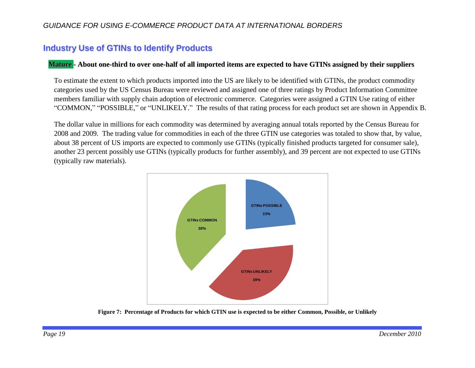### <span id="page-21-0"></span>**Industry Use of GTINs to Identify Products**

#### Mature - About one-third to over one-half of all imported items are expected to have GTINs assigned by their suppliers

To estimate the extent to which products imported into the US are likely to be identified with GTINs, the product commodity categories used by the US Census Bureau were reviewed and assigned one of three ratings by Product Information Committee members familiar with supply chain adoption of electronic commerce. Categories were assigned a GTIN Use rating of either "COMMON," "POSSIBLE," or "UNLIKELY." The results of that rating process for each product set are shown in [Appendix B.](#page-33-0)

The dollar value in millions for each commodity was determined by averaging annual totals reported by the Census Bureau for 2008 and 2009. The trading value for commodities in each of the three GTIN use categories was totaled to show that, by value, about 38 percent of US imports are expected to commonly use GTINs (typically finished products targeted for consumer sale), another 23 percent possibly use GTINs (typically products for further assembly), and 39 percent are not expected to use GTINs (typically raw materials).



Figure 7: Percentage of Products for which GTIN use is expected to be either Common, Possible, or Unlikely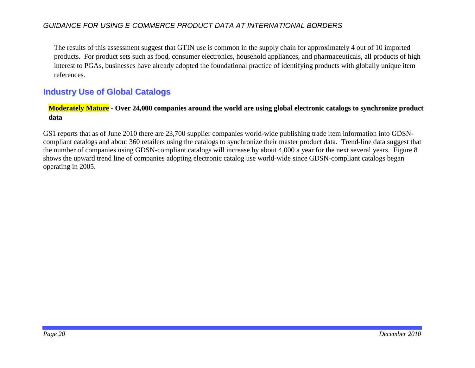The results of this assessment suggest that GTIN use is common in the supply chain for approximately 4 out of 10 imported products. For product sets such as food, consumer electronics, household appliances, and pharmaceuticals, all products of high interest to PGAs, businesses have already adopted the foundational practice of identifying products with globally unique item references.

### <span id="page-22-0"></span>**Industry Use of Global Catalogs**

#### Moderately Mature - Over 24,000 companies around the world are using global electronic catalogs to synchronize product **data**

GS1 reports that as of June 2010 there are 23,700 supplier companies world-wide publishing trade item information into GDSNcompliant catalogs and about 360 retailers using the catalogs to synchronize their master product data. Trend-line data suggest that the number of companies using GDSN-compliant catalogs will increase by about 4,000 a year for the next several years. [Figure 8](#page-23-0) shows the upward trend line of companies adopting electronic catalog use world-wide since GDSN-compliant catalogs began operating in 2005.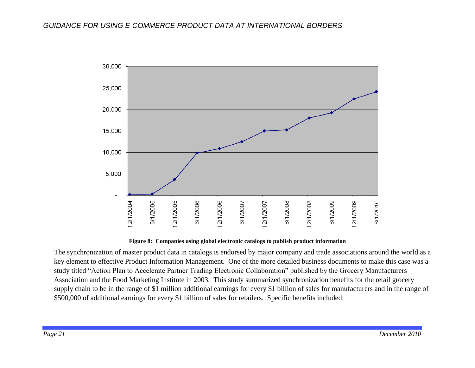

#### **Figure 8: Companies using global electronic catalogs to publish product information**

<span id="page-23-0"></span>The synchronization of master product data in catalogs is endorsed by major company and trade associations around the world as a key element to effective Product Information Management. One of the more detailed business documents to make this case was a study titled "Action Plan to Accelerate Partner Trading Electronic Collaboration" published by the Grocery Manufacturers Association and the Food Marketing Institute in 2003. This study summarized synchronization benefits for the retail grocery supply chain to be in the range of \$1 million additional earnings for every \$1 billion of sales for manufacturers and in the range of \$500,000 of additional earnings for every \$1 billion of sales for retailers. Specific benefits included: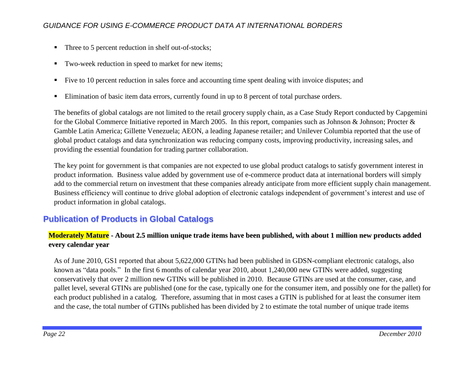- Three to 5 percent reduction in shelf out-of-stocks;
- Two-week reduction in speed to market for new items;
- Five to 10 percent reduction in sales force and accounting time spent dealing with invoice disputes; and
- **Elimination of basic item data errors, currently found in up to 8 percent of total purchase orders.**

The benefits of global catalogs are not limited to the retail grocery supply chain, as a Case Study Report conducted by Capgemini for the Global Commerce Initiative reported in March 2005. In this report, companies such as Johnson & Johnson; Procter & Gamble Latin America; Gillette Venezuela; AEON, a leading Japanese retailer; and Unilever Columbia reported that the use of global product catalogs and data synchronization was reducing company costs, improving productivity, increasing sales, and providing the essential foundation for trading partner collaboration.

The key point for government is that companies are not expected to use global product catalogs to satisfy government interest in product information. Business value added by government use of e-commerce product data at international borders will simply add to the commercial return on investment that these companies already anticipate from more efficient supply chain management. Business efficiency will continue to drive global adoption of electronic catalogs independent of government's interest and use of product information in global catalogs.

# <span id="page-24-0"></span>**Publication of Products in Global Catalogs**

#### Moderately Mature - About 2.5 million unique trade items have been published, with about 1 million new products added **every calendar year**

As of June 2010, GS1 reported that about 5,622,000 GTINs had been published in GDSN-compliant electronic catalogs, also known as "data pools." In the first 6 months of calendar year 2010, about 1,240,000 new GTINs were added, suggesting conservatively that over 2 million new GTINs will be published in 2010. Because GTINs are used at the consumer, case, and pallet level, several GTINs are published (one for the case, typically one for the consumer item, and possibly one for the pallet) for each product published in a catalog. Therefore, assuming that in most cases a GTIN is published for at least the consumer item and the case, the total number of GTINs published has been divided by 2 to estimate the total number of unique trade items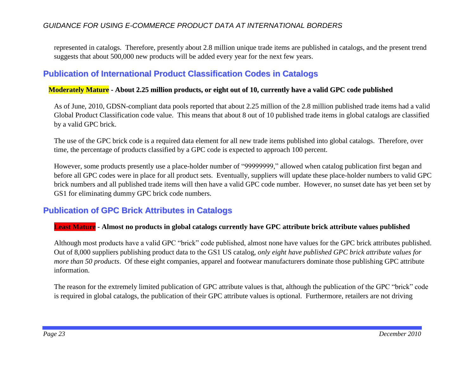represented in catalogs. Therefore, presently about 2.8 million unique trade items are published in catalogs, and the present trend suggests that about 500,000 new products will be added every year for the next few years.

### <span id="page-25-0"></span>**Publication of International Product Classification Codes in Catalogs**

#### Moderately Mature - About 2.25 million products, or eight out of 10, currently have a valid GPC code published

As of June, 2010, GDSN-compliant data pools reported that about 2.25 million of the 2.8 million published trade items had a valid Global Product Classification code value. This means that about 8 out of 10 published trade items in global catalogs are classified by a valid GPC brick.

The use of the GPC brick code is a required data element for all new trade items published into global catalogs. Therefore, over time, the percentage of products classified by a GPC code is expected to approach 100 percent.

However, some products presently use a place-holder number of "99999999," allowed when catalog publication first began and before all GPC codes were in place for all product sets. Eventually, suppliers will update these place-holder numbers to valid GPC brick numbers and all published trade items will then have a valid GPC code number. However, no sunset date has yet been set by GS1 for eliminating dummy GPC brick code numbers.

### <span id="page-25-1"></span>**Publication of GPC Brick Attributes in Catalogs**

#### **Least Mature - Almost no products in global catalogs currently have GPC attribute brick attribute values published**

Although most products have a valid GPC "brick" code published, almost none have values for the GPC brick attributes published. Out of 8,000 suppliers publishing product data to the GS1 US catalog, *only eight have published GPC brick attribute values for more than 50 products*. Of these eight companies, apparel and footwear manufacturers dominate those publishing GPC attribute information.

The reason for the extremely limited publication of GPC attribute values is that, although the publication of the GPC "brick" code is required in global catalogs, the publication of their GPC attribute values is optional. Furthermore, retailers are not driving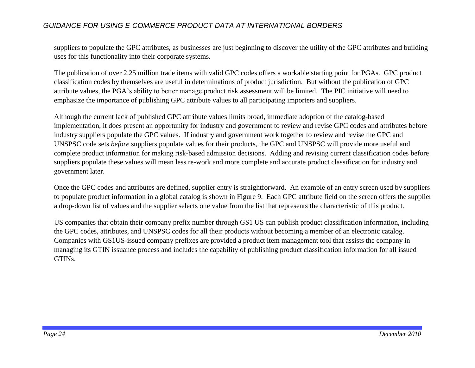suppliers to populate the GPC attributes, as businesses are just beginning to discover the utility of the GPC attributes and building uses for this functionality into their corporate systems.

The publication of over 2.25 million trade items with valid GPC codes offers a workable starting point for PGAs. GPC product classification codes by themselves are useful in determinations of product jurisdiction. But without the publication of GPC attribute values, the PGA's ability to better manage product risk assessment will be limited. The PIC initiative will need to emphasize the importance of publishing GPC attribute values to all participating importers and suppliers.

Although the current lack of published GPC attribute values limits broad, immediate adoption of the catalog-based implementation, it does present an opportunity for industry and government to review and revise GPC codes and attributes before industry suppliers populate the GPC values. If industry and government work together to review and revise the GPC and UNSPSC code sets *before* suppliers populate values for their products, the GPC and UNSPSC will provide more useful and complete product information for making risk-based admission decisions. Adding and revising current classification codes before suppliers populate these values will mean less re-work and more complete and accurate product classification for industry and government later.

Once the GPC codes and attributes are defined, supplier entry is straightforward. An example of an entry screen used by suppliers to populate product information in a global catalog is shown in [Figure 9.](#page-27-2) Each GPC attribute field on the screen offers the supplier a drop-down list of values and the supplier selects one value from the list that represents the characteristic of this product.

US companies that obtain their company prefix number through GS1 US can publish product classification information, including the GPC codes, attributes, and UNSPSC codes for all their products without becoming a member of an electronic catalog. Companies with GS1US-issued company prefixes are provided a product item management tool that assists the company in managing its GTIN issuance process and includes the capability of publishing product classification information for all issued GTINs.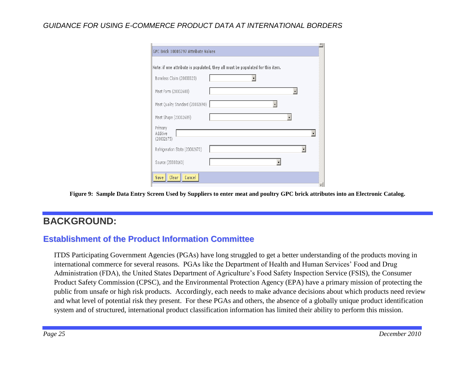| GPC Brick 10005797 Attribute Values |                                                                                |  |  |
|-------------------------------------|--------------------------------------------------------------------------------|--|--|
|                                     | Note: if one attribute is populated, they all must be populated for this item. |  |  |
| Boneless Claim (20000020)           |                                                                                |  |  |
| Meat Form (20002688)                |                                                                                |  |  |
| Meat Quality Standard (20002690)    |                                                                                |  |  |
| Meat Shape (20002689)               |                                                                                |  |  |
| Primary<br>Additive<br>(20002675)   |                                                                                |  |  |
| Refrigeration State (20002673)      |                                                                                |  |  |
| Source (20000163)                   |                                                                                |  |  |
| Clear  <br>Cancel<br><b>Save</b>    |                                                                                |  |  |

**Figure 9: Sample Data Entry Screen Used by Suppliers to enter meat and poultry GPC brick attributes into an Electronic Catalog.** 

# <span id="page-27-2"></span><span id="page-27-0"></span>**BACKGROUND:**

### <span id="page-27-1"></span>**Establishment of the Product Information Committee**

ITDS Participating Government Agencies (PGAs) have long struggled to get a better understanding of the products moving in international commerce for several reasons. PGAs like the Department of Health and Human Services' Food and Drug Administration (FDA), the United States Department of Agriculture's Food Safety Inspection Service (FSIS), the Consumer Product Safety Commission (CPSC), and the Environmental Protection Agency (EPA) have a primary mission of protecting the public from unsafe or high risk products. Accordingly, each needs to make advance decisions about which products need review and what level of potential risk they present. For these PGAs and others, the absence of a globally unique product identification system and of structured, international product classification information has limited their ability to perform this mission.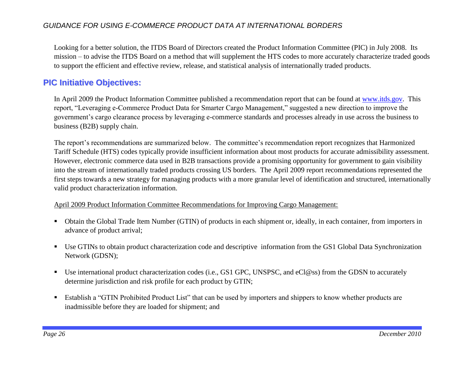Looking for a better solution, the ITDS Board of Directors created the Product Information Committee (PIC) in July 2008. Its mission – to advise the ITDS Board on a method that will supplement the HTS codes to more accurately characterize traded goods to support the efficient and effective review, release, and statistical analysis of internationally traded products.

### <span id="page-28-0"></span>**PIC Initiative Objectives:**

In April 2009 the Product Information Committee published a recommendation report that can be found at [www.itds.gov.](http://www.itds.gov/) This report, "Leveraging e-Commerce Product Data for Smarter Cargo Management," suggested a new direction to improve the government's cargo clearance process by leveraging e-commerce standards and processes already in use across the business to business (B2B) supply chain.

The report's recommendations are summarized below. The committee's recommendation report recognizes that Harmonized Tariff Schedule (HTS) codes typically provide insufficient information about most products for accurate admissibility assessment. However, electronic commerce data used in B2B transactions provide a promising opportunity for government to gain visibility into the stream of internationally traded products crossing US borders. The April 2009 report recommendations represented the first steps towards a new strategy for managing products with a more granular level of identification and structured, internationally valid product characterization information.

#### April 2009 Product Information Committee Recommendations for Improving Cargo Management:

- Obtain the Global Trade Item Number (GTIN) of products in each shipment or, ideally, in each container, from importers in advance of product arrival;
- Use GTINs to obtain product characterization code and descriptive information from the GS1 Global Data Synchronization Network (GDSN);
- Use international product characterization codes (i.e., GS1 GPC, UNSPSC, and eCl@ss) from the GDSN to accurately determine jurisdiction and risk profile for each product by GTIN;
- Establish a "GTIN Prohibited Product List" that can be used by importers and shippers to know whether products are inadmissible before they are loaded for shipment; and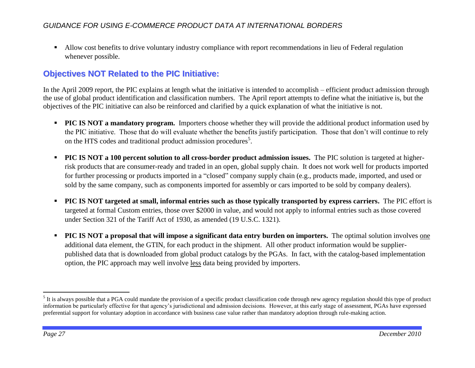Allow cost benefits to drive voluntary industry compliance with report recommendations in lieu of Federal regulation whenever possible.

# <span id="page-29-0"></span>**Objectives NOT Related to the PIC Initiative:**

In the April 2009 report, the PIC explains at length what the initiative is intended to accomplish – efficient product admission through the use of global product identification and classification numbers. The April report attempts to define what the initiative is, but the objectives of the PIC initiative can also be reinforced and clarified by a quick explanation of what the initiative is not.

- **PIC IS NOT** a **mandatory program.** Importers choose whether they will provide the additional product information used by the PIC initiative. Those that do will evaluate whether the benefits justify participation. Those that don't will continue to rely on the HTS codes and traditional product admission procedures<sup>5</sup>.
- **PIC IS NOT a 100 percent solution to all cross-border product admission issues.** The PIC solution is targeted at higherrisk products that are consumer-ready and traded in an open, global supply chain. It does not work well for products imported for further processing or products imported in a "closed" company supply chain (e.g., products made, imported, and used or sold by the same company, such as components imported for assembly or cars imported to be sold by company dealers).
- **PIC IS NOT targeted at small, informal entries such as those typically transported by express carriers.** The PIC effort is targeted at formal Custom entries, those over \$2000 in value, and would not apply to informal entries such as those covered under Section 321 of the Tariff Act of 1930, as amended (19 U.S.C. 1321).
- **PIC IS NOT a proposal that will impose a significant data entry burden on importers.** The optimal solution involves one additional data element, the GTIN, for each product in the shipment. All other product information would be supplierpublished data that is downloaded from global product catalogs by the PGAs. In fact, with the catalog-based implementation option, the PIC approach may well involve less data being provided by importers.

 $\overline{a}$ 

 $<sup>5</sup>$  It is always possible that a PGA could mandate the provision of a specific product classification code through new agency regulation should this type of product</sup> information be particularly effective for that agency's jurisdictional and admission decisions. However, at this early stage of assessment, PGAs have expressed preferential support for voluntary adoption in accordance with business case value rather than mandatory adoption through rule-making action.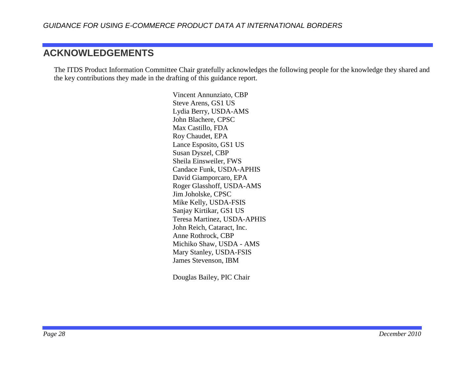# <span id="page-30-0"></span>**ACKNOWLEDGEMENTS**

The ITDS Product Information Committee Chair gratefully acknowledges the following people for the knowledge they shared and the key contributions they made in the drafting of this guidance report.

> Vincent Annunziato, CBP Steve Arens, GS1 US Lydia Berry, USDA-AMS John Blachere, CPSC Max Castillo, FDA Roy Chaudet, EPA Lance Esposito, GS1 US Susan Dyszel, CBP Sheila Einsweiler, FWS Candace Funk, USDA-APHIS David Giamporcaro, EPA Roger Glasshoff, USDA-AMS Jim Joholske, CPSC Mike Kelly, USDA-FSIS Sanjay Kirtikar, GS1 US Teresa Martinez, USDA-APHIS John Reich, Cataract, Inc. Anne Rothrock, CBP Michiko Shaw, USDA - AMS Mary Stanley, USDA-FSIS James Stevenson, IBM

Douglas Bailey, PIC Chair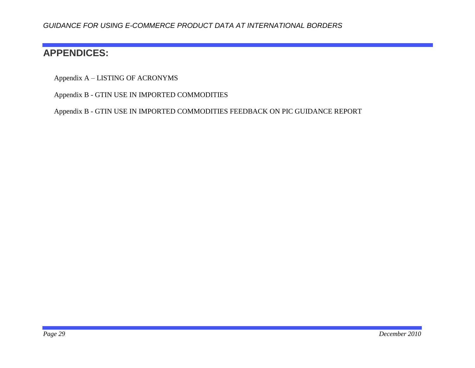# <span id="page-31-0"></span>**APPENDICES:**

Appendix A – [LISTING OF ACRONYMS](#page-32-0)

Appendix B - [GTIN USE IN IMPORTED COMMODITIES](#page-33-0)

Appendix B - [GTIN USE IN IMPORTED COMMODITIES](#page-33-0) FEEDBACK ON PIC GUIDANCE REPORT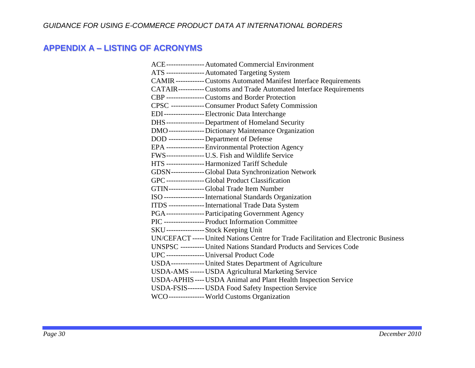# <span id="page-32-0"></span>**APPENDIX A – LISTING OF ACRONYMS**

| ACE---------------- Automated Commercial Environment                                 |
|--------------------------------------------------------------------------------------|
| ATS ---------------- Automated Targeting System                                      |
| CAMIR ------------ Customs Automated Manifest Interface Requirements                 |
| CATAIR----------- Customs and Trade Automated Interface Requirements                 |
| CBP ----------------Customs and Border Protection                                    |
| CPSC --------------Consumer Product Safety Commission                                |
| EDI------------------ Electronic Data Interchange                                    |
| DHS---------------- Department of Homeland Security                                  |
| DMO----------------Dictionary Maintenance Organization                               |
| DOD --------------- Department of Defense                                            |
| EPA ---------------- Environmental Protection Agency                                 |
| FWS------------------ U.S. Fish and Wildlife Service                                 |
| HTS ---------------- Harmonized Tariff Schedule                                      |
| GDSN--------------Global Data Synchronization Network                                |
| GPC----------------Global Product Classification                                     |
| GTIN---------------Global Trade Item Number                                          |
| ISO ----------------- International Standards Organization                           |
| ITDS --------------- International Trade Data System                                 |
| PGA---------------- Participating Government Agency                                  |
| PIC ----------------- Product Information Committee                                  |
| SKU-----------------Stock Keeping Unit                                               |
| UN/CEFACT ----- United Nations Centre for Trade Facilitation and Electronic Business |
| UNSPSC ---------- United Nations Standard Products and Services Code                 |
| UPC---------------- Universal Product Code                                           |
| USDA--------------- United States Department of Agriculture                          |
| USDA-AMS ------ USDA Agricultural Marketing Service                                  |
| USDA-APHIS ---- USDA Animal and Plant Health Inspection Service                      |
| USDA-FSIS------- USDA Food Safety Inspection Service                                 |
| WCO--------------- World Customs Organization                                        |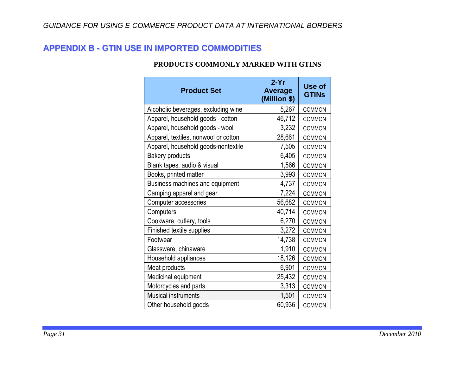# <span id="page-33-0"></span>**APPENDIX B - GTIN USE IN IMPORTED COMMODITIES**

#### **PRODUCTS COMMONLY MARKED WITH GTINS**

| <b>Product Set</b>                   | $2-Yr$<br><b>Average</b><br>(Million \$) | Use of<br><b>GTINs</b> |
|--------------------------------------|------------------------------------------|------------------------|
| Alcoholic beverages, excluding wine  | 5,267                                    | <b>COMMON</b>          |
| Apparel, household goods - cotton    | 46,712                                   | <b>COMMON</b>          |
| Apparel, household goods - wool      | 3,232                                    | <b>COMMON</b>          |
| Apparel, textiles, nonwool or cotton | 28,661                                   | <b>COMMON</b>          |
| Apparel, household goods-nontextile  | 7,505                                    | <b>COMMON</b>          |
| <b>Bakery products</b>               | 6,405                                    | <b>COMMON</b>          |
| Blank tapes, audio & visual          | 1,566                                    | <b>COMMON</b>          |
| Books, printed matter                | 3,993                                    | <b>COMMON</b>          |
| Business machines and equipment      | 4,737                                    | <b>COMMON</b>          |
| Camping apparel and gear             | 7,224                                    | <b>COMMON</b>          |
| Computer accessories                 | 56,682                                   | <b>COMMON</b>          |
| Computers                            | 40,714                                   | <b>COMMON</b>          |
| Cookware, cutlery, tools             | 6,270                                    | <b>COMMON</b>          |
| Finished textile supplies            | 3,272                                    | <b>COMMON</b>          |
| Footwear                             | 14,738                                   | <b>COMMON</b>          |
| Glassware, chinaware                 | 1,910                                    | <b>COMMON</b>          |
| Household appliances                 | 18,126                                   | <b>COMMON</b>          |
| Meat products                        | 6,901                                    | <b>COMMON</b>          |
| Medicinal equipment                  | 25,432                                   | <b>COMMON</b>          |
| Motorcycles and parts                | 3,313                                    | <b>COMMON</b>          |
| Musical instruments                  | 1,501                                    | <b>COMMON</b>          |
| Other household goods                | 60,936                                   | COMMON                 |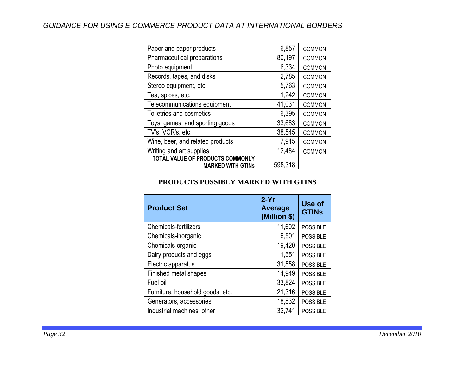| Paper and paper products                                            | 6,857   | <b>COMMON</b> |
|---------------------------------------------------------------------|---------|---------------|
| Pharmaceutical preparations                                         | 80,197  | <b>COMMON</b> |
| Photo equipment                                                     | 6,334   | <b>COMMON</b> |
| Records, tapes, and disks                                           | 2,785   | <b>COMMON</b> |
| Stereo equipment, etc                                               | 5,763   | <b>COMMON</b> |
| Tea, spices, etc.                                                   | 1,242   | <b>COMMON</b> |
| Telecommunications equipment                                        | 41,031  | <b>COMMON</b> |
| Toiletries and cosmetics                                            | 6,395   | <b>COMMON</b> |
| Toys, games, and sporting goods                                     | 33,683  | <b>COMMON</b> |
| TV's, VCR's, etc.                                                   | 38,545  | <b>COMMON</b> |
| Wine, beer, and related products                                    | 7,915   | <b>COMMON</b> |
| Writing and art supplies                                            | 12,484  | <b>COMMON</b> |
| <b>TOTAL VALUE OF PRODUCTS COMMONLY</b><br><b>MARKED WITH GTINS</b> | 598,318 |               |

#### **PRODUCTS POSSIBLY MARKED WITH GTINS**

| <b>Product Set</b>               | $2-Yr$<br><b>Average</b><br>(Million \$) | Use of<br><b>GTINS</b> |
|----------------------------------|------------------------------------------|------------------------|
| <b>Chemicals-fertilizers</b>     | 11,602                                   | <b>POSSIBLE</b>        |
| Chemicals-inorganic              | 6,501                                    | <b>POSSIBLE</b>        |
| Chemicals-organic                | 19,420                                   | <b>POSSIBLE</b>        |
| Dairy products and eggs          | 1,551                                    | <b>POSSIBLE</b>        |
| Electric apparatus               | 31,558                                   | <b>POSSIBLE</b>        |
| Finished metal shapes            | 14,949                                   | <b>POSSIBLE</b>        |
| Fuel oil                         | 33,824                                   | <b>POSSIBLE</b>        |
| Furniture, household goods, etc. | 21,316                                   | <b>POSSIBLE</b>        |
| Generators, accessories          | 18,832                                   | <b>POSSIBLE</b>        |
| Industrial machines, other       | 32,741                                   | <b>POSSIBLE</b>        |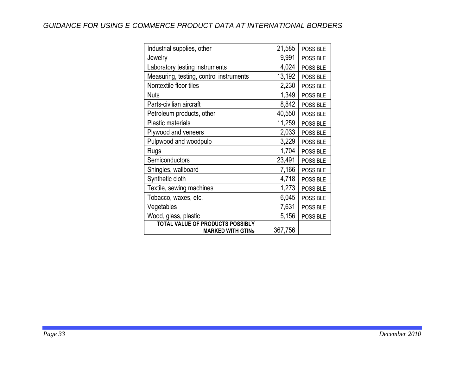| Industrial supplies, other                                   | 21,585  | <b>POSSIBLE</b> |
|--------------------------------------------------------------|---------|-----------------|
| Jewelry                                                      | 9,991   | <b>POSSIBLE</b> |
| Laboratory testing instruments                               | 4,024   | <b>POSSIBLE</b> |
| Measuring, testing, control instruments                      | 13,192  | <b>POSSIBLE</b> |
| Nontextile floor tiles                                       | 2,230   | <b>POSSIBLE</b> |
| <b>Nuts</b>                                                  | 1,349   | <b>POSSIBLE</b> |
| Parts-civilian aircraft                                      | 8,842   | <b>POSSIBLE</b> |
| Petroleum products, other                                    | 40,550  | <b>POSSIBLE</b> |
| <b>Plastic materials</b>                                     | 11,259  | <b>POSSIBLE</b> |
| Plywood and veneers                                          | 2,033   | <b>POSSIBLE</b> |
| Pulpwood and woodpulp                                        | 3,229   | <b>POSSIBLE</b> |
| Rugs                                                         | 1,704   | <b>POSSIBLE</b> |
| Semiconductors                                               | 23,491  | <b>POSSIBLE</b> |
| Shingles, wallboard                                          | 7,166   | <b>POSSIBLE</b> |
| Synthetic cloth                                              | 4,718   | <b>POSSIBLE</b> |
| Textile, sewing machines                                     | 1,273   | <b>POSSIBLE</b> |
| Tobacco, waxes, etc.                                         | 6,045   | <b>POSSIBLE</b> |
| Vegetables                                                   | 7,631   | <b>POSSIBLE</b> |
| Wood, glass, plastic                                         | 5,156   | <b>POSSIBLE</b> |
| TOTAL VALUE OF PRODUCTS POSSIBLY<br><b>MARKED WITH GTINS</b> | 367,756 |                 |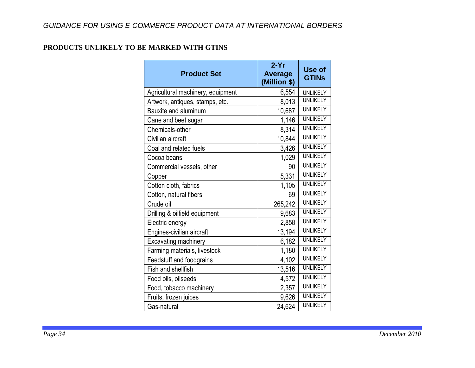#### **PRODUCTS UNLIKELY TO BE MARKED WITH GTINS**

| <b>Product Set</b>                | $2-Yr$<br><b>Average</b><br>(Million \$) | Use of<br><b>GTINs</b> |
|-----------------------------------|------------------------------------------|------------------------|
| Agricultural machinery, equipment | 6,554                                    | <b>UNLIKELY</b>        |
| Artwork, antiques, stamps, etc.   | 8,013                                    | <b>UNLIKELY</b>        |
| Bauxite and aluminum              | 10,687                                   | <b>UNLIKELY</b>        |
| Cane and beet sugar               | 1,146                                    | <b>UNLIKELY</b>        |
| Chemicals-other                   | 8,314                                    | <b>UNLIKELY</b>        |
| Civilian aircraft                 | 10,844                                   | <b>UNLIKELY</b>        |
| Coal and related fuels            | 3,426                                    | <b>UNLIKELY</b>        |
| Cocoa beans                       | 1,029                                    | <b>UNLIKELY</b>        |
| Commercial vessels, other         | 90                                       | <b>UNLIKELY</b>        |
| Copper                            | 5,331                                    | <b>UNLIKELY</b>        |
| Cotton cloth, fabrics             | 1,105                                    | <b>UNLIKELY</b>        |
| Cotton, natural fibers            | 69                                       | <b>UNLIKELY</b>        |
| Crude oil                         | 265,242                                  | <b>UNLIKELY</b>        |
| Drilling & oilfield equipment     | 9,683                                    | <b>UNLIKELY</b>        |
| Electric energy                   | 2,858                                    | <b>UNLIKELY</b>        |
| Engines-civilian aircraft         | 13,194                                   | <b>UNLIKELY</b>        |
| Excavating machinery              | 6,182                                    | <b>UNLIKELY</b>        |
| Farming materials, livestock      | 1,180                                    | <b>UNLIKELY</b>        |
| Feedstuff and foodgrains          | 4,102                                    | <b>UNLIKELY</b>        |
| Fish and shellfish                | 13,516                                   | <b>UNLIKELY</b>        |
| Food oils, oilseeds               | 4,572                                    | <b>UNLIKELY</b>        |
| Food, tobacco machinery           | 2,357                                    | <b>UNLIKELY</b>        |
| Fruits, frozen juices             | 9,626                                    | <b>UNLIKELY</b>        |
| Gas-natural                       | 24,624                                   | <b>UNLIKELY</b>        |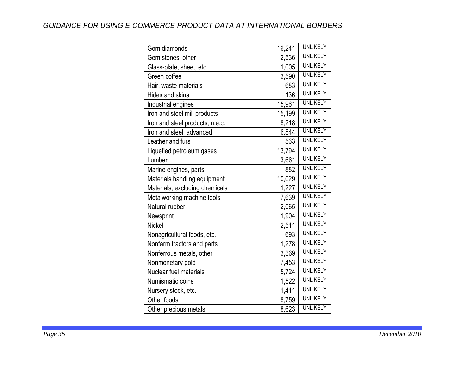| Gem diamonds                    | 16,241 | <b>UNLIKELY</b> |
|---------------------------------|--------|-----------------|
| Gem stones, other               | 2,536  | <b>UNLIKELY</b> |
| Glass-plate, sheet, etc.        | 1,005  | <b>UNLIKELY</b> |
| Green coffee                    | 3,590  | <b>UNLIKELY</b> |
| Hair, waste materials           | 683    | <b>UNLIKELY</b> |
| Hides and skins                 | 136    | <b>UNLIKELY</b> |
| Industrial engines              | 15,961 | <b>UNLIKELY</b> |
| Iron and steel mill products    | 15,199 | <b>UNLIKELY</b> |
| Iron and steel products, n.e.c. | 8,218  | <b>UNLIKELY</b> |
| Iron and steel, advanced        | 6,844  | <b>UNLIKELY</b> |
| Leather and furs                | 563    | <b>UNLIKELY</b> |
| Liquefied petroleum gases       | 13,794 | <b>UNLIKELY</b> |
| Lumber                          | 3,661  | <b>UNLIKELY</b> |
| Marine engines, parts           | 882    | <b>UNLIKELY</b> |
| Materials handling equipment    | 10,029 | <b>UNLIKELY</b> |
| Materials, excluding chemicals  | 1,227  | <b>UNLIKELY</b> |
| Metalworking machine tools      | 7,639  | <b>UNLIKELY</b> |
| Natural rubber                  | 2,065  | <b>UNLIKELY</b> |
| Newsprint                       | 1,904  | <b>UNLIKELY</b> |
| <b>Nickel</b>                   | 2,511  | <b>UNLIKELY</b> |
| Nonagricultural foods, etc.     | 693    | <b>UNLIKELY</b> |
| Nonfarm tractors and parts      | 1,278  | <b>UNLIKELY</b> |
| Nonferrous metals, other        | 3,369  | <b>UNLIKELY</b> |
| Nonmonetary gold                | 7,453  | <b>UNLIKELY</b> |
| Nuclear fuel materials          | 5,724  | <b>UNLIKELY</b> |
| Numismatic coins                | 1,522  | <b>UNLIKELY</b> |
| Nursery stock, etc.             | 1,411  | <b>UNLIKELY</b> |
| Other foods                     | 8,759  | <b>UNLIKELY</b> |
| Other precious metals           | 8,623  | <b>UNLIKELY</b> |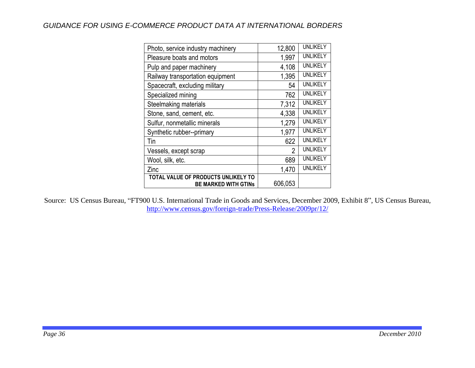| Photo, service industry machinery                                  | 12,800         | UNLIKELY        |
|--------------------------------------------------------------------|----------------|-----------------|
| Pleasure boats and motors                                          | 1,997          | <b>UNLIKELY</b> |
| Pulp and paper machinery                                           | 4,108          | <b>UNLIKELY</b> |
| Railway transportation equipment                                   | 1,395          | <b>UNLIKELY</b> |
| Spacecraft, excluding military                                     | 54             | <b>UNLIKELY</b> |
| Specialized mining                                                 | 762            | <b>UNLIKELY</b> |
| Steelmaking materials                                              | 7,312          | <b>UNLIKELY</b> |
| Stone, sand, cement, etc.                                          | 4,338          | <b>UNLIKELY</b> |
| Sulfur, nonmetallic minerals                                       | 1,279          | <b>UNLIKELY</b> |
| Synthetic rubber--primary                                          | 1,977          | UNLIKELY        |
| Tin                                                                | 622            | <b>UNLIKELY</b> |
| Vessels, except scrap                                              | $\overline{2}$ | <b>UNLIKELY</b> |
| Wool, silk, etc.                                                   | 689            | <b>UNLIKELY</b> |
| Zinc                                                               | 1,470          | UNLIKELY        |
| TOTAL VALUE OF PRODUCTS UNLIKELY TO<br><b>BE MARKED WITH GTINS</b> | 606,053        |                 |

Source: US Census Bureau, "FT900 U.S. International Trade in Goods and Services, December 2009, Exhibit 8", US Census Bureau, <http://www.census.gov/foreign-trade/Press-Release/2009pr/12/>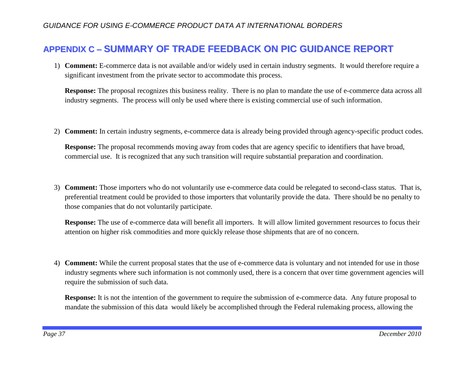# **APPENDIX C – SUMMARY OF TRADE FEEDBACK ON PIC GUIDANCE REPORT**

1) **Comment:** E-commerce data is not available and/or widely used in certain industry segments. It would therefore require a significant investment from the private sector to accommodate this process.

**Response:** The proposal recognizes this business reality. There is no plan to mandate the use of e-commerce data across all industry segments. The process will only be used where there is existing commercial use of such information.

2) **Comment:** In certain industry segments, e-commerce data is already being provided through agency-specific product codes.

**Response:** The proposal recommends moving away from codes that are agency specific to identifiers that have broad, commercial use. It is recognized that any such transition will require substantial preparation and coordination.

3) **Comment:** Those importers who do not voluntarily use e-commerce data could be relegated to second-class status. That is, preferential treatment could be provided to those importers that voluntarily provide the data. There should be no penalty to those companies that do not voluntarily participate.

**Response:** The use of e-commerce data will benefit all importers. It will allow limited government resources to focus their attention on higher risk commodities and more quickly release those shipments that are of no concern.

4) **Comment:** While the current proposal states that the use of e-commerce data is voluntary and not intended for use in those industry segments where such information is not commonly used, there is a concern that over time government agencies will require the submission of such data.

**Response:** It is not the intention of the government to require the submission of e-commerce data. Any future proposal to mandate the submission of this data would likely be accomplished through the Federal rulemaking process, allowing the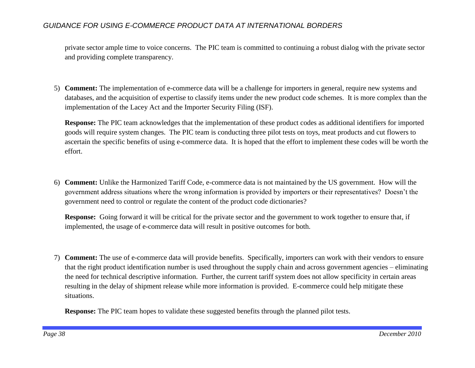private sector ample time to voice concerns. The PIC team is committed to continuing a robust dialog with the private sector and providing complete transparency.

5) **Comment:** The implementation of e-commerce data will be a challenge for importers in general, require new systems and databases, and the acquisition of expertise to classify items under the new product code schemes. It is more complex than the implementation of the Lacey Act and the Importer Security Filing (ISF).

**Response:** The PIC team acknowledges that the implementation of these product codes as additional identifiers for imported goods will require system changes. The PIC team is conducting three pilot tests on toys, meat products and cut flowers to ascertain the specific benefits of using e-commerce data. It is hoped that the effort to implement these codes will be worth the effort.

6) **Comment:** Unlike the Harmonized Tariff Code, e-commerce data is not maintained by the US government. How will the government address situations where the wrong information is provided by importers or their representatives? Doesn't the government need to control or regulate the content of the product code dictionaries?

**Response:** Going forward it will be critical for the private sector and the government to work together to ensure that, if implemented, the usage of e-commerce data will result in positive outcomes for both.

7) **Comment:** The use of e-commerce data will provide benefits. Specifically, importers can work with their vendors to ensure that the right product identification number is used throughout the supply chain and across government agencies – eliminating the need for technical descriptive information. Further, the current tariff system does not allow specificity in certain areas resulting in the delay of shipment release while more information is provided. E-commerce could help mitigate these situations.

**Response:** The PIC team hopes to validate these suggested benefits through the planned pilot tests.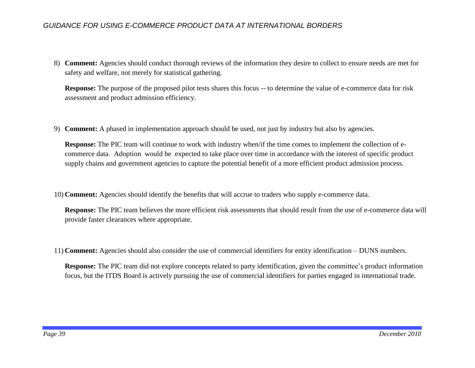8) **Comment:** Agencies should conduct thorough reviews of the information they desire to collect to ensure needs are met for safety and welfare, not merely for statistical gathering.

**Response:** The purpose of the proposed pilot tests shares this focus -- to determine the value of e-commerce data for risk assessment and product admission efficiency.

9) **Comment:** A phased in implementation approach should be used, not just by industry but also by agencies.

**Response:** The PIC team will continue to work with industry when/if the time comes to implement the collection of ecommerce data. Adoption would be expected to take place over time in accordance with the interest of specific product supply chains and government agencies to capture the potential benefit of a more efficient product admission process.

10) **Comment:** Agencies should identify the benefits that will accrue to traders who supply e-commerce data.

**Response:** The PIC team believes the more efficient risk assessments that should result from the use of e-commerce data will provide faster clearances where appropriate.

11) **Comment:** Agencies should also consider the use of commercial identifiers for entity identification – DUNS numbers.

**Response:** The PIC team did not explore concepts related to party identification, given the committee's product information focus, but the ITDS Board is actively pursuing the use of commercial identifiers for parties engaged in international trade.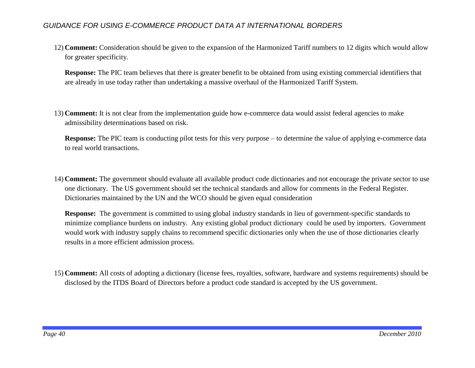12) **Comment:** Consideration should be given to the expansion of the Harmonized Tariff numbers to 12 digits which would allow for greater specificity.

**Response:** The PIC team believes that there is greater benefit to be obtained from using existing commercial identifiers that are already in use today rather than undertaking a massive overhaul of the Harmonized Tariff System.

13) **Comment:** It is not clear from the implementation guide how e-commerce data would assist federal agencies to make admissibility determinations based on risk.

**Response:** The PIC team is conducting pilot tests for this very purpose – to determine the value of applying e-commerce data to real world transactions.

14) **Comment:** The government should evaluate all available product code dictionaries and not encourage the private sector to use one dictionary. The US government should set the technical standards and allow for comments in the Federal Register. Dictionaries maintained by the UN and the WCO should be given equal consideration

**Response:** The government is committed to using global industry standards in lieu of government-specific standards to minimize compliance burdens on industry. Any existing global product dictionary could be used by importers. Government would work with industry supply chains to recommend specific dictionaries only when the use of those dictionaries clearly results in a more efficient admission process.

15) **Comment:** All costs of adopting a dictionary (license fees, royalties, software, hardware and systems requirements) should be disclosed by the ITDS Board of Directors before a product code standard is accepted by the US government.